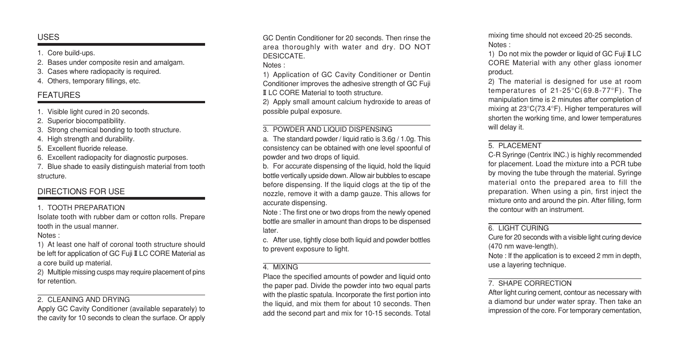## USES

1. Core build-ups.

2. Bases under composite resin and amalgam.

3. Cases where radiopacity is required.

4. Others, temporary fillings, etc.

## FEATURES

1. Visible light cured in 20 seconds.

2. Superior biocompatibility.

3. Strong chemical bonding to tooth structure.

4. High strength and durability.

5. Excellent fluoride release.

6. Excellent radiopacity for diagnostic purposes.

7. Blue shade to easily distinguish material from tooth structure.

# DIRECTIONS FOR USE

#### 1. TOOTH PREPARATION

Isolate tooth with rubber dam or cotton rolls. Prepare tooth in the usual manner.

Notes :

1) At least one half of coronal tooth structure should be left for application of GC Fuji II LC CORE Material as a core build up material.

2) Multiple missing cusps may require placement of pins for retention.

## 2. CLEANING AND DRYING

Apply GC Cavity Conditioner (available separately) to the cavity for 10 seconds to clean the surface. Or apply GC Dentin Conditioner for 20 seconds. Then rinse the area thoroughly with water and dry. DO NOT **DESICCATE** 

Notes :

1) Application of GC Cavity Conditioner or Dentin Conditioner improves the adhesive strength of GC Fuji II LC CORE Material to tooth structure.

2) Apply small amount calcium hydroxide to areas of possible pulpal exposure.

## 3. POWDER AND LIQUID DISPENSING

a. The standard powder / liquid ratio is 3.6g / 1.0g. This consistency can be obtained with one level spoonful of powder and two drops of liquid.

b. For accurate dispensing of the liquid, hold the liquid bottle vertically upside down. Allow air bubbles to escape before dispensing. If the liquid clogs at the tip of the nozzle, remove it with a damp gauze. This allows for accurate dispensing.

Note : The first one or two drops from the newly opened bottle are smaller in amount than drops to be dispensed later.

c. After use, tightly close both liquid and powder bottles to prevent exposure to light.

#### 4. MIXING

Place the specified amounts of powder and liquid onto the paper pad. Divide the powder into two equal parts with the plastic spatula. Incorporate the first portion into the liquid, and mix them for about 10 seconds. Then add the second part and mix for 10-15 seconds. Total mixing time should not exceed 20-25 seconds. Notes :

1) Do not mix the powder or liquid of GC Fuji II LC CORE Material with any other glass ionomer product.

2) The material is designed for use at room temperatures of 21-25°C(69.8-77°F). The manipulation time is 2 minutes after completion of mixing at 23°C(73.4°F). Higher temperatures will shorten the working time, and lower temperatures will delay it.

#### 5. PLACEMENT

C-R Syringe (Centrix INC.) is highly recommended for placement. Load the mixture into a PCR tube by moving the tube through the material. Syringe material onto the prepared area to fill the preparation. When using a pin, first inject the mixture onto and around the pin. After filling, form the contour with an instrument.

## 6. LIGHT CURING

Cure for 20 seconds with a visible light curing device (470 nm wave-length).

Note : If the application is to exceed 2 mm in depth, use a layering technique.

#### 7. SHAPE CORRECTION

After light curing cement, contour as necessary with a diamond bur under water spray. Then take an impression of the core. For temporary cementation,